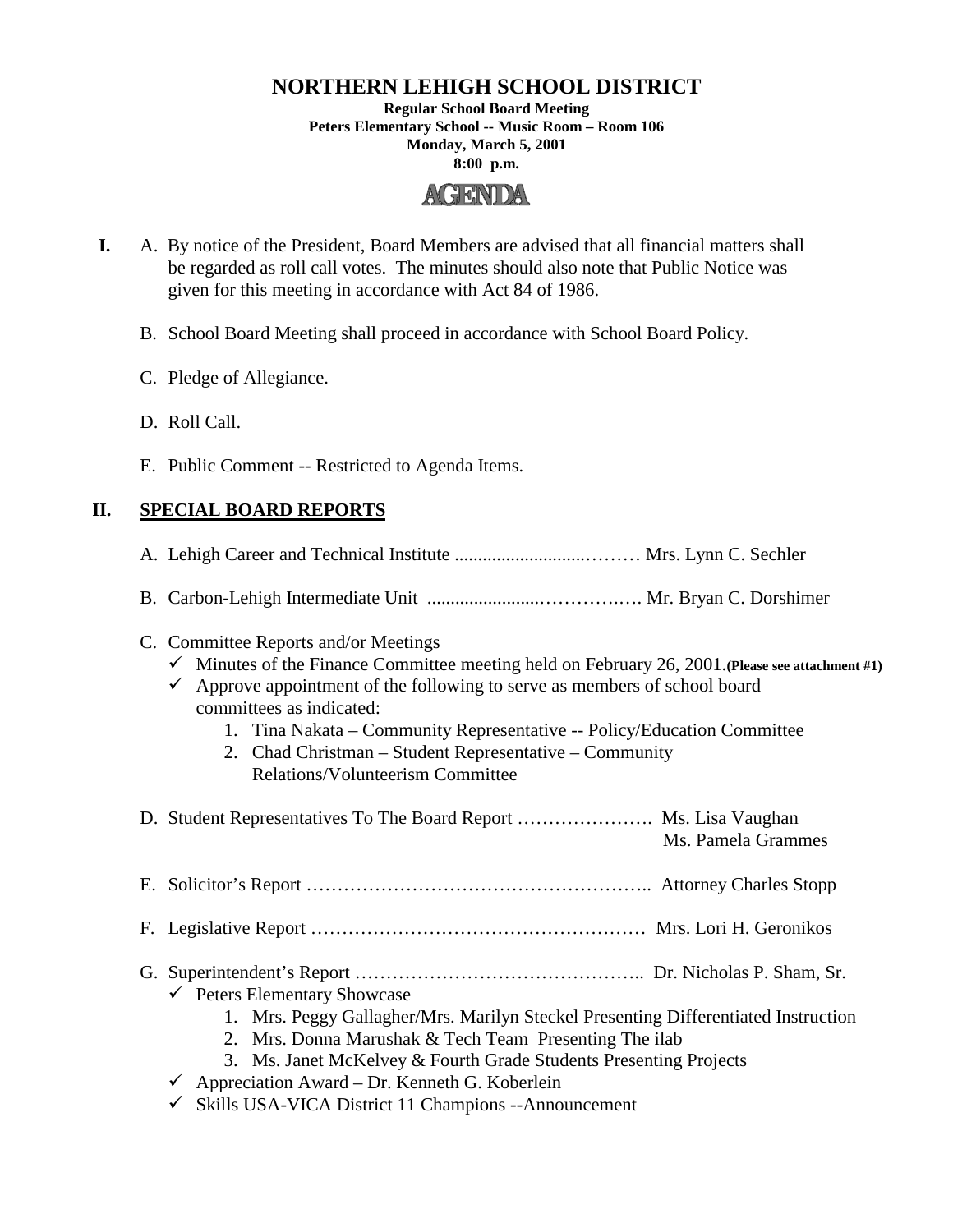# **NORTHERN LEHIGH SCHOOL DISTRICT**

**Regular School Board Meeting Peters Elementary School -- Music Room – Room 106 Monday, March 5, 2001 8:00 p.m.**



- **I.** A. By notice of the President, Board Members are advised that all financial matters shall be regarded as roll call votes. The minutes should also note that Public Notice was given for this meeting in accordance with Act 84 of 1986.
	- B. School Board Meeting shall proceed in accordance with School Board Policy.
	- C. Pledge of Allegiance.
	- D. Roll Call.
	- E. Public Comment -- Restricted to Agenda Items.

## **II. SPECIAL BOARD REPORTS**

- A. Lehigh Career and Technical Institute ............................……… Mrs. Lynn C. Sechler
- B. Carbon-Lehigh Intermediate Unit ........................………….…. Mr. Bryan C. Dorshimer
- C. Committee Reports and/or Meetings
	- $\checkmark$  Minutes of the Finance Committee meeting held on February 26, 2001. (Please see attachment #1)
	- $\checkmark$  Approve appointment of the following to serve as members of school board committees as indicated:
		- 1. Tina Nakata Community Representative -- Policy/Education Committee
		- 2. Chad Christman Student Representative Community Relations/Volunteerism Committee

| D. Student Representatives To The Board Report  Ms. Lisa Vaughan                                                                                                                                                                                             | Ms. Pamela Grammes |
|--------------------------------------------------------------------------------------------------------------------------------------------------------------------------------------------------------------------------------------------------------------|--------------------|
|                                                                                                                                                                                                                                                              |                    |
|                                                                                                                                                                                                                                                              |                    |
| $\checkmark$ Peters Elementary Showcase<br>1. Mrs. Peggy Gallagher/Mrs. Marilyn Steckel Presenting Differentiated Instruction<br>2. Mrs. Donna Marushak & Tech Team Presenting The ilab<br>3. Ms. Janet McKelvey & Fourth Grade Students Presenting Projects |                    |

- $\checkmark$  Appreciation Award Dr. Kenneth G. Koberlein
- $\checkmark$  Skills USA-VICA District 11 Champions --Announcement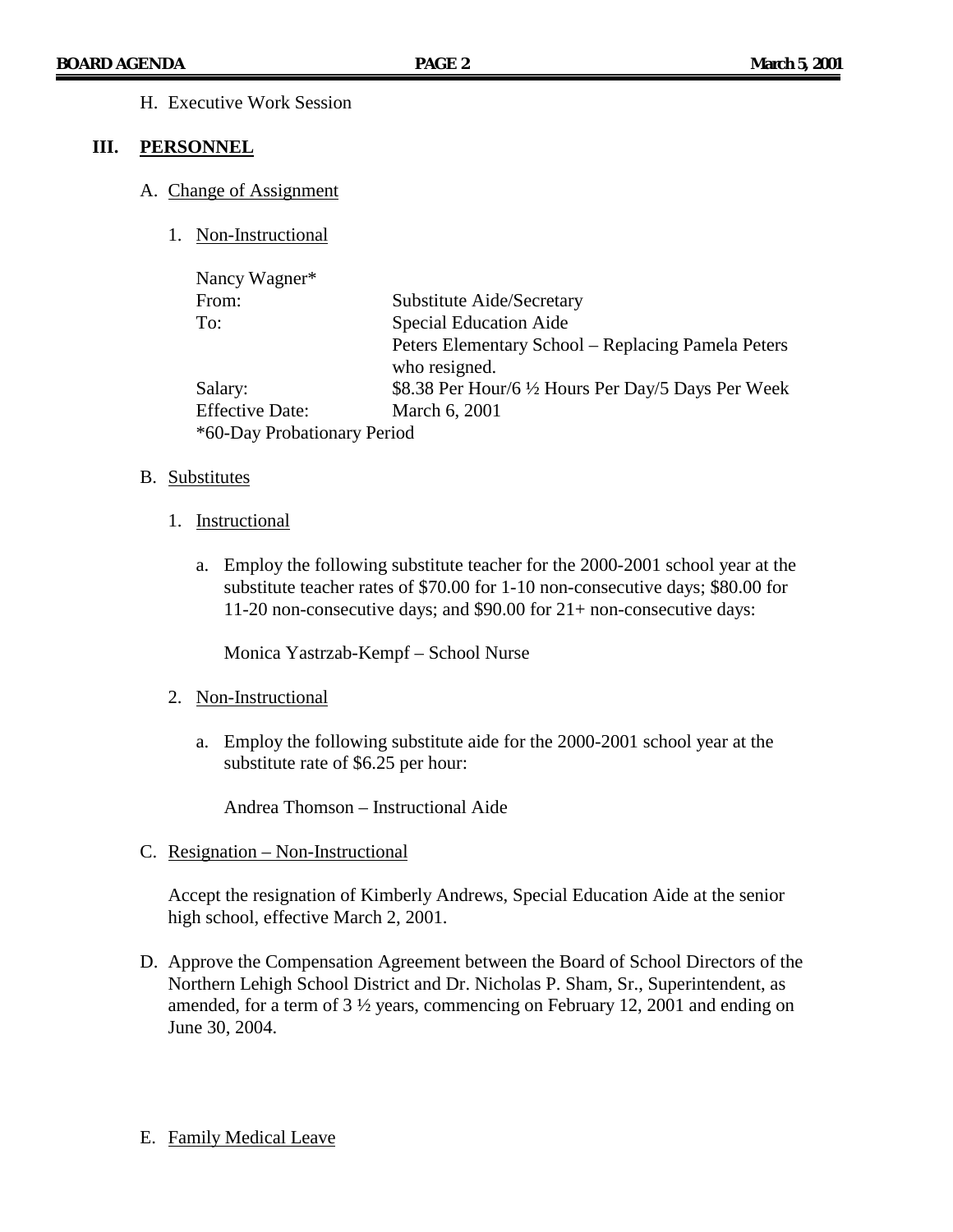H. Executive Work Session

#### **III. PERSONNEL**

- A. Change of Assignment
	- 1. Non-Instructional

| Nancy Wagner*               |                                                     |
|-----------------------------|-----------------------------------------------------|
| From:                       | <b>Substitute Aide/Secretary</b>                    |
| To:                         | <b>Special Education Aide</b>                       |
|                             | Peters Elementary School – Replacing Pamela Peters  |
|                             | who resigned.                                       |
| Salary:                     | \$8.38 Per Hour/6 1/2 Hours Per Day/5 Days Per Week |
| <b>Effective Date:</b>      | March 6, 2001                                       |
| *60-Day Probationary Period |                                                     |

#### B. Substitutes

- 1. Instructional
	- a. Employ the following substitute teacher for the 2000-2001 school year at the substitute teacher rates of \$70.00 for 1-10 non-consecutive days; \$80.00 for 11-20 non-consecutive days; and \$90.00 for 21+ non-consecutive days:

Monica Yastrzab-Kempf – School Nurse

- 2. Non-Instructional
	- a. Employ the following substitute aide for the 2000-2001 school year at the substitute rate of \$6.25 per hour:

Andrea Thomson – Instructional Aide

C. Resignation – Non-Instructional

Accept the resignation of Kimberly Andrews, Special Education Aide at the senior high school, effective March 2, 2001.

- D. Approve the Compensation Agreement between the Board of School Directors of the Northern Lehigh School District and Dr. Nicholas P. Sham, Sr., Superintendent, as amended, for a term of  $3\frac{1}{2}$  years, commencing on February 12, 2001 and ending on June 30, 2004.
- E. Family Medical Leave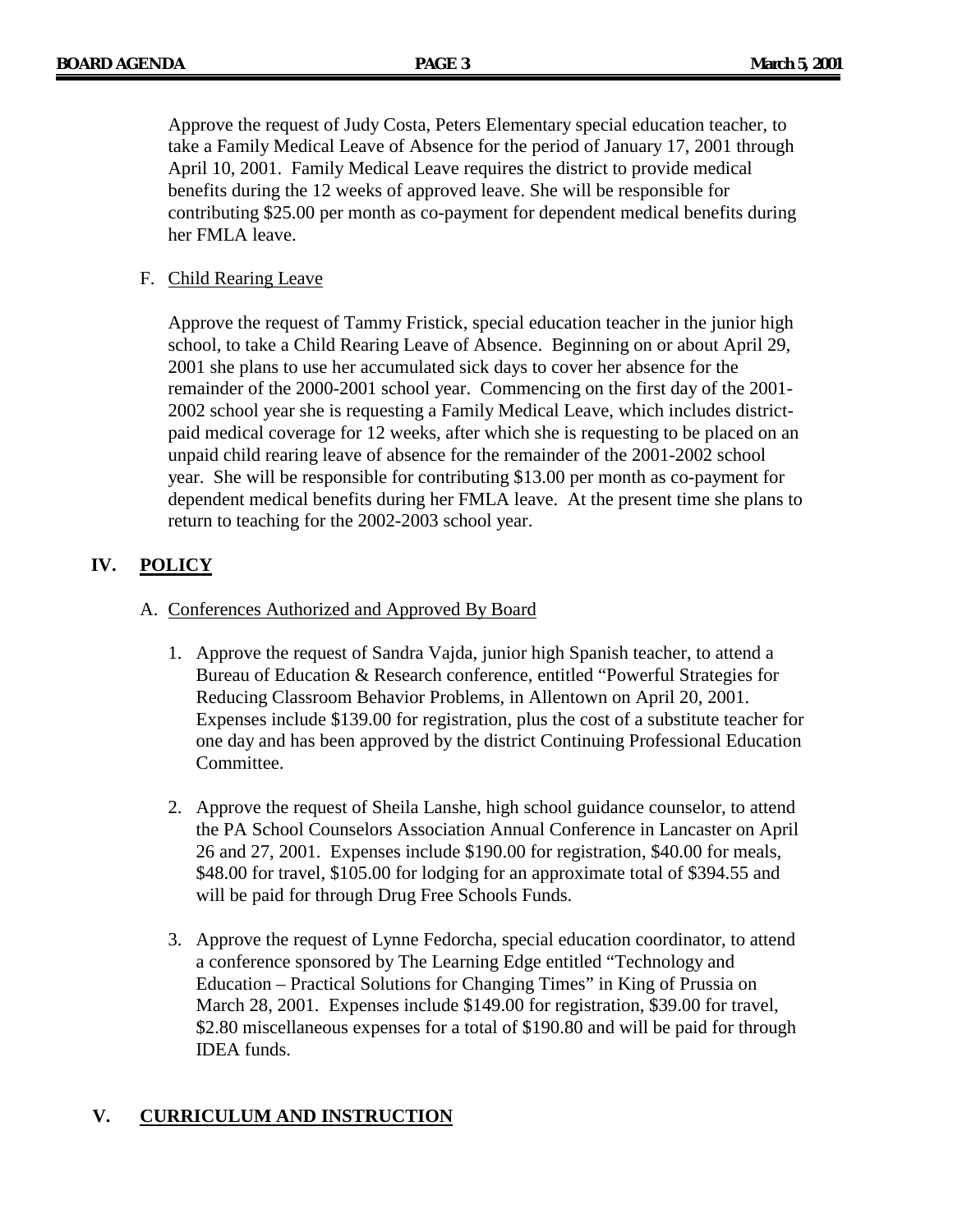Approve the request of Judy Costa, Peters Elementary special education teacher, to take a Family Medical Leave of Absence for the period of January 17, 2001 through April 10, 2001. Family Medical Leave requires the district to provide medical benefits during the 12 weeks of approved leave. She will be responsible for contributing \$25.00 per month as co-payment for dependent medical benefits during her FMLA leave.

### F. Child Rearing Leave

Approve the request of Tammy Fristick, special education teacher in the junior high school, to take a Child Rearing Leave of Absence. Beginning on or about April 29, 2001 she plans to use her accumulated sick days to cover her absence for the remainder of the 2000-2001 school year. Commencing on the first day of the 2001- 2002 school year she is requesting a Family Medical Leave, which includes districtpaid medical coverage for 12 weeks, after which she is requesting to be placed on an unpaid child rearing leave of absence for the remainder of the 2001-2002 school year. She will be responsible for contributing \$13.00 per month as co-payment for dependent medical benefits during her FMLA leave. At the present time she plans to return to teaching for the 2002-2003 school year.

# **IV. POLICY**

#### A. Conferences Authorized and Approved By Board

- 1. Approve the request of Sandra Vajda, junior high Spanish teacher, to attend a Bureau of Education & Research conference, entitled "Powerful Strategies for Reducing Classroom Behavior Problems, in Allentown on April 20, 2001. Expenses include \$139.00 for registration, plus the cost of a substitute teacher for one day and has been approved by the district Continuing Professional Education Committee.
- 2. Approve the request of Sheila Lanshe, high school guidance counselor, to attend the PA School Counselors Association Annual Conference in Lancaster on April 26 and 27, 2001. Expenses include \$190.00 for registration, \$40.00 for meals, \$48.00 for travel, \$105.00 for lodging for an approximate total of \$394.55 and will be paid for through Drug Free Schools Funds.
- 3. Approve the request of Lynne Fedorcha, special education coordinator, to attend a conference sponsored by The Learning Edge entitled "Technology and Education – Practical Solutions for Changing Times" in King of Prussia on March 28, 2001. Expenses include \$149.00 for registration, \$39.00 for travel, \$2.80 miscellaneous expenses for a total of \$190.80 and will be paid for through IDEA funds.

# **V. CURRICULUM AND INSTRUCTION**